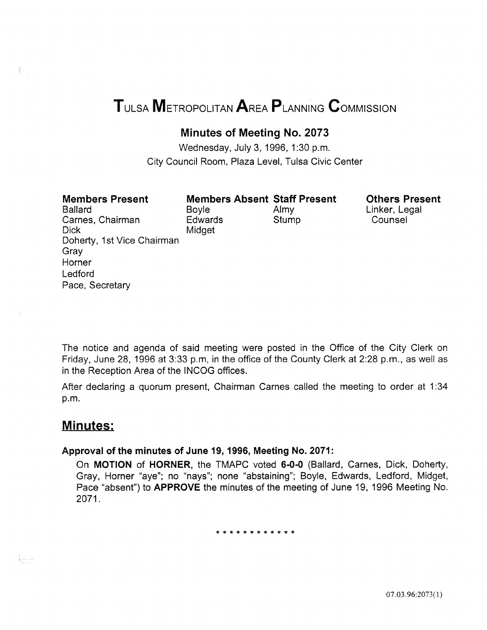# TULSA METROPOLITAN AREA PLANNING CoMMISSION

## Minutes of Meeting No. 2073

Wednesday, July 3, 1996, 1:30 p.m. City Council Room, Plaza Level, Tulsa Civic Center

| <b>Members Present</b>     |
|----------------------------|
| <b>Ballard</b>             |
| Carnes, Chairman           |
| Dick                       |
| Doherty, 1st Vice Chairman |
| Gray                       |
| Horner                     |
| Ledford                    |
| Pace, Secretary            |

Boyle Almy Edwards Stump Midget

Members Absent Staff Present

Others Present Linker, Legal Counsel

The notice and agenda of said meeting were posted in the Office of the City Clerk on Friday; June 28; 1996 at 3:33 p.m; in the office of the County Clerk at 2:28 p.m., as well as in the Reception Area of the INCOG offices.

After declaring a quorum present, Chairman Carnes called the meeting to order at 1:34 p.m.

## Minutes:

## Approval of the minutes of June 19, 1996, Meeting No. 2071:

On MOTION of HORNER, the TMAPC voted 6-0-0 (Ballard, Carnes, Dick, Doherty, Gray, Horner "aye"; no "nays"; none "abstaining"; Boyle, Edwards, Ledford, Midget, Pace "absent") to **APPROVE** the minutes of the meeting of June 19, 1996 Meeting No. 2071.

\* \* \* \* \* \* \* \* \* \* \* \*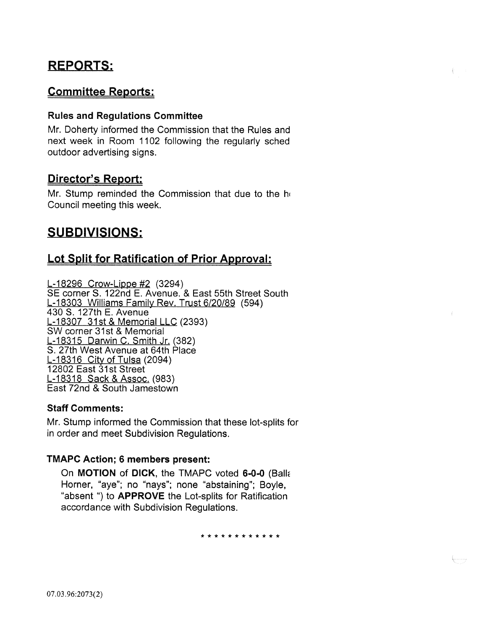## REPORTS:

## Committee Reports:

## Rules and Regulations Committee

Mr. Doherty informed the Commission that the Rules and next week in Room 1102 following the regularly sched outdoor advertising signs.

## Director's Report:

Mr. Stump reminded the Commission that due to the he Council meeting this week.

## SUBDIVISIONS:

## Lot Split for Ratification of Prior Approval:

L-18296 Crow-Lippe #2 (3294) SE corner S. 122nd E. Avenue. & East 55th Street South L-18303 Williams Family Rev. Trust 6/20/89 (594) 430 S. 127th E. Avenue L-18307 31st & Memorial LLC (2393) SW corner 31st & Memorial L-18315 Darwin C. Smith Jr. (382) S. 27th West Avenue at 64th Place L-18316 City of Tulsa (2094) 12802 East 31st Street L-18318 Sack & Assoc. (983) East 72nd & South Jamestown

## Staff Comments:

Mr. Stump informed the Commission that these lot-splits for in order and meet Subdivision Regulations.

## TMAPC Action; 6 members present:

On MOTION of DICK, the TMAPC voted 6-0-0 (Balle Horner, "aye"; no "nays"; none "abstaining"; Boyle, "absent ") to APPROVE the Lot-splits for Ratification accordance with Subdivision Regulations.

\* \* \* \* \* \* \* \* \* \* \* \*

Ļ..........<sub>7</sub>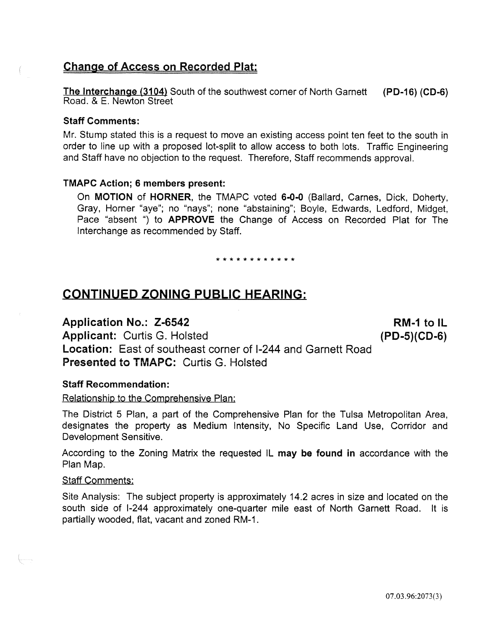## Change of Access on Recorded Plat:

The Interchange (3104) South of the southwest corner of North Garnett (PD-16) (CD-6) Road. & E. Newton Street

## Staff Comments:

Mr. Stump stated this is a request to move an existing access point ten feet to the south in order to line up with a proposed lot-split to allow access to both lots. Traffic Engineering and Staff have no objection to the request. Therefore, Staff recommends approval.

## TMAPC Action; 6 members present:

On MOTION of HORNER, the TMAPC voted 6-0-0 (Ballard, Carnes, Dick, Doherty, Gray, Horner "aye"; no "nays"; none "abstaining"; Boyle, Edwards, Ledford, Midget, Pace "absent ") to APPROVE the Change of Access on Recorded Plat for The Interchange as recommended by Staff.

\* \* \* \* \* \* \* \* \* \* \* \*

## CONTINUED ZONING PUBLIC HEARING:

## Application No.: Z-6542

Applicant: Curtis G. Hoisted Location: East of southeast corner of 1-244 and Garnett Road Presented to TMAPC: Curtis G. Holsted

Staff Recommendation:

## Relationship to the Comprehensive Plan:

The District 5 Plan, a part of the Comprehensive Plan for the Tulsa Metropolitan Area, designates the property as Medium Intensity, No Specific Land Use, Corridor and Development Sensitive.

According to the Zoning Matrix the requested IL may be found in accordance with the Plan Map.

## Staff Comments:

Site Analysis: The subject property is approximately 14.2 acres in size and located on the south side of 1-244 approximately one-quarter mile east of North Garnett Road. It is partially wooded, flat, vacant and zoned RM-1.

 $RM-1$  to  $IL$ (PD-S)(CD-6)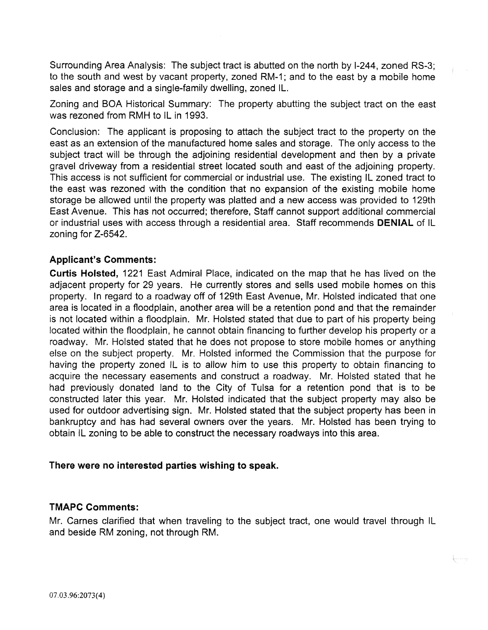Surrounding Area Analysis: The subject tract is abutted on the north by 1-244, zoned RS-3; to the south and west by vacant property, zoned RM-1; and to the east by a mobile home sales and storage and a single-family dwelling, zoned IL.

Zoning and BOA Historical Summary: The property abutting the subject tract on the east was rezoned from RMH to IL in 1993.

Conclusion: The applicant is proposing to attach the subject tract to the property on the east as an extension of the manufactured home sales and storage. The only access to the subject tract will be through the adjoining residential development and then by a private gravel driveway from a residential street located south and east of the adjoining property. This access is not sufficient for commercial or industrial use. The existing IL zoned tract to the east was rezoned with the condition that no expansion of the existing mobile home storage be allowed until the property was platted and a new access was provided to 129th East Avenue. This has not occurred; therefore, Staff cannot support additional commercial or industrial uses with access through a residential area. Staff recommends **DENIAL** of IL zoning for Z-6542.

## **Applicant's Comments:**

**Curtis Hoisted,** 1221 East Admiral Place, indicated on the map that he has lived on the adjacent property for 29 years. He currently stores and sells used mobile homes on this property. In regard to a roadway off of 129th East Avenue, Mr. Hoisted indicated that one area is located in a floodplain, another area will be a retention pond and that the remainder is not located within a floodplain. Mr. Hoisted stated that due to part of his property being located within the floodplain, he cannot obtain financing to further develop his property or a roadway. Mr. Hoisted stated that he does not propose to store mobile homes or anything else on the subject property. Mr. Hoisted informed the Commission that the purpose for having the property zoned IL is to aliow him to use this property to obtain financing to acquire the necessary easements and construct a roadway. Mr. Hoisted stated that he had previously donated land to the City of Tulsa for a retention pond that is to be constructed later this year. Mr. Hoisted indicated that the subject property may also be used for outdoor advertising sign. Mr. Hoisted stated that the subject property has been in bankruptcy and has had several owners over the years. Mr. Hoisted has been trying to obtain IL zoning to be able to construct the necessary roadways into this area.

## **There were no interested parties wishing to speak.**

## **TMAPC Comments:**

Mr. Carnes clarified that when traveling to the subject tract, one would travel through IL and beside RM zoning, not through RM.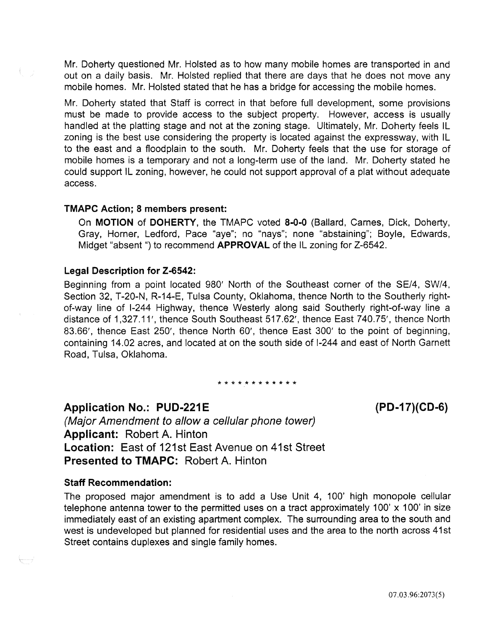Mr. Doherty questioned Mr. Hoisted as to how many mobile homes are transported in and out on a daily basis. Mr. Hoisted replied that there are days that he does not move any mobile homes. Mr. Hoisted stated that he has a bridge for accessing the mobile homes.

Mr. Doherty stated that Staff is correct in that before full development, some provisions must be made to provide access to the subject property. However, access is usually handled at the platting stage and not at the zoning stage. Ultimately, Mr. Doherty feels IL zoning is the best use considering the property is located against the expressway, with IL to the east and a floodplain to the south. Mr. Doherty feels that the use for storage of mobile homes is a temporary and not a long-term use of the land. Mr. Doherty stated he could support IL zoning, however, he could not support approval of a plat without adequate access.

#### TMAPC Action; 8 members present:

On MOTION of DOHERTY, the TMAPC voted 8-0-0 (Ballard, Carnes, Dick, Doherty, Gray, Horner, Ledford, Pace "aye"; no "nays"; none "abstaining"; Boyle, Edwards, Midget "absent ") to recommend **APPROVAL** of the IL zoning for Z-6542.

#### Legal Description for Z-6542:

Beginning from a point located 980' North of the Southeast corner of the SE/4, SW/4, Section 32, T-20-N, R-14-E, Tulsa County, Oklahoma, thence North to the Southerly rightof-way line of 1-244 Highway, thence Westerly along said Southerly right-of-way line a distance of 1,327.11', thence South Southeast 517.62', thence East 740.75', thence North 83.66', thence East 250', thence North 60', thence East 300' to the point of beginning, containing 14.02 acres, and located at on the south side of 1-244 and east of North Garnett Road, Tulsa, Oklahoma.

\* \* \* \* \* \* \* \* \* \* \* \*

**Application No.: PUD-221E** 

(Major Amendment to allow a cellular phone tower) Applicant: Robert A. Hinton Location: East of 121st East Avenue on 41st Street Presented to TMAPC: Robert A. Hinton

#### Staff Recommendation:

The proposed major amendment is to add a Use Unit 4, 100' high monopole cellular telephone antenna tower to the permitted uses on a tract approximately 100' x 100' in size immediately east of an existing apartment complex. The surrounding area to the south and west is undeveloped but planned for residential uses and the area to the north across 41st Street contains duplexes and single family homes.

(PD-17}(CD-6)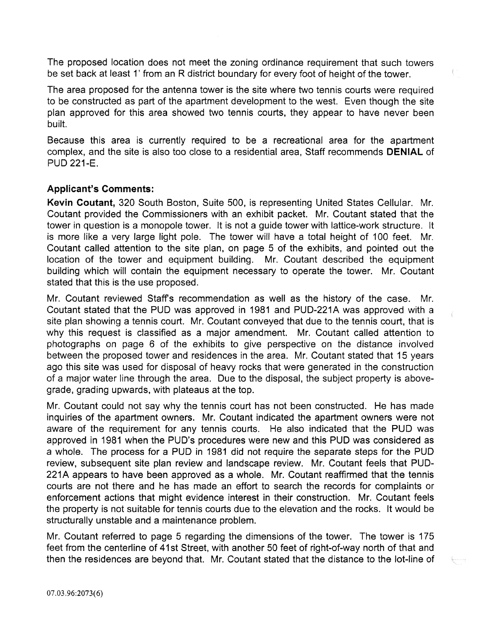The proposed location does not meet the zoning ordinance requirement that such towers be set back at least 1' from an R district boundary for every foot of height of the tower.

The area proposed for the antenna tower is the site where two tennis courts were required to be constructed as part of the apartment development to the west. Even though the site plan approved for this area showed two tennis courts, they appear to have never been built.

Because this area is currently required to be a recreational area for the apartment complex, and the site is also too close to a residential area, Staff recommends **DENIAL** of PUD 221-E.

## **Applicant's Comments:**

**Kevin Coutant,** 320 South Boston, Suite 500, is representing United States Cellular. Mr. Coutant provided the Commissioners with an exhibit packet. Mr. Coutant stated that the tower in question is a monopole tower. It is not a guide tower with lattice-work structure. It is more like a very large light pole. The tower will have a total height of 100 feet. Mr. Coutant called attention to the site plan, on page 5 of the exhibits, and pointed out the location of the tower and equipment building. Mr. Coutant described the equipment building which will contain the equipment necessary to operate the tower. Mr. Coutant stated that this is the use proposed.

Mr. Coutant reviewed Staffs recommendation as well as the history of the case. Mr. Coutant stated that the PUD was approved in 1981 and PUD-221A was approved with a site plan showing a tennis court. Mr. Coutant conveyed that due to the tennis court, that is why this request is classified as a major amendment. Mr. Coutant called attention to photographs on page 6 of the exhibits to give perspective on the distance involved between the proposed tower and residences in the area. Mr. Coutant stated that 15 years ago this site was used for disposal of heavy rocks that were generated in the construction of a major water line through the area. Due to the disposal, the subject property is abovegrade, grading upwards, with plateaus at the top.

Mr. Coutant could not say why the tennis court has not been constructed. He has made inquiries of the apartment owners. Mr. Coutant indicated the apartment owners were not aware of the requirement for any tennis courts. He also indicated that the PUD was approved in 1981 when the PUD's procedures were new and this PUD was considered as a whole. The process for a PUD in 1981 did not require the separate steps for the PUD review, subsequent site plan review and landscape review. Mr. Coutant feels that PUD-221A appears to have been approved as a whole. Mr. Coutant reaffirmed that the tennis courts are not there and he has made an effort to search the records for complaints or enforcement actions that might evidence interest in their construction. Mr. Coutant feels the property is not suitable for tennis courts due to the elevation and the rocks. It would be structurally unstable and a maintenance problem.

Mr. Coutant referred to page 5 regarding the dimensions of the tower. The tower is 175 feet from the centerline of 41st Street, with another 50 feet of right-of-way north of that and then the residences are beyond that. Mr. Coutant stated that the distance to the lot-line of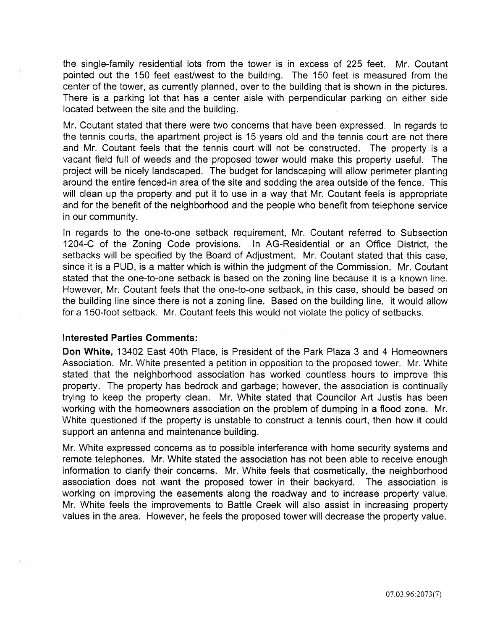the single-family residential lots from the tower is in excess of 225 feet. Mr. Coutant pointed out the 150 feet east/west to the building. The 150 feet is measured from the center of the tower, as currently planned, over to the building that is shown in the pictures. There is a parking lot that has a center aisle with perpendicular parking on either side located between the site and the building.

Mr. Coutant stated that there were two concerns that have been expressed. In regards to the tennis courts, the apartment project is 15 years old and the tennis court are not there and Mr. Coutant feels that the tennis court will not be constructed. The property is a vacant field full of weeds and the proposed tower would make this property useful. The project will be nicely landscaped. The budget for landscaping will allow perimeter planting around the entire fenced-in area of the site and sodding the area outside of the fence. This will clean up the property and put it to use in a way that Mr. Coutant feels is appropriate and for the benefit of the neighborhood and the people who benefit from telephone service in our community.

In regards to the one-to-one setback requirement, Mr. Coutant referred to Subsection 1204-C of the Zoning Code provisions. In AG-Residential or an Office District, the setbacks will be specified by the Board of Adjustment. Mr. Coutant stated that this case, since it is a PUD, is a matter which is within the judgment of the Commission. Mr. Coutant stated that the one-to-one setback is based on the zoning line because it is a known line. However, Mr. Coutant feels that the one-to-one setback, in this case, should be based on the building line since there is not a zoning line. Based on the building line, it would allow for a 150-foot setback. Mr. Coutant feels this would not violate the policy of setbacks.

### Interested Parties Comments:

Don White, 13402 East 40th Place, is President of the Park Plaza 3 and 4 Homeowners Association. Mr. White presented a petition in opposition to the proposed tower. Mr. White stated that the neighborhood association has worked countless hours to improve this property. The property has bedrock and garbage; however, the association is continually trying to keep the property clean. Mr. White stated that Councilor Art Justis has been working with the homeowners association on the problem of dumping in a flood zone. Mr. White questioned if the property is unstable to construct a tennis court, then how it could support an antenna and maintenance building.

Mr. White expressed concerns as to possible interference with home security systems and remote telephones. Mr. White stated the association has not been able to receive enough information to clarify their concerns. Mr. White feels that cosmetically, the neighborhood association does not want the proposed tower in their backyard. The association is working on improving the easements along the roadway and to increase property value. Mr. White feels the improvements to Battle Creek will also assist in increasing property values in the area. However, he feels the proposed tower will decrease the property value.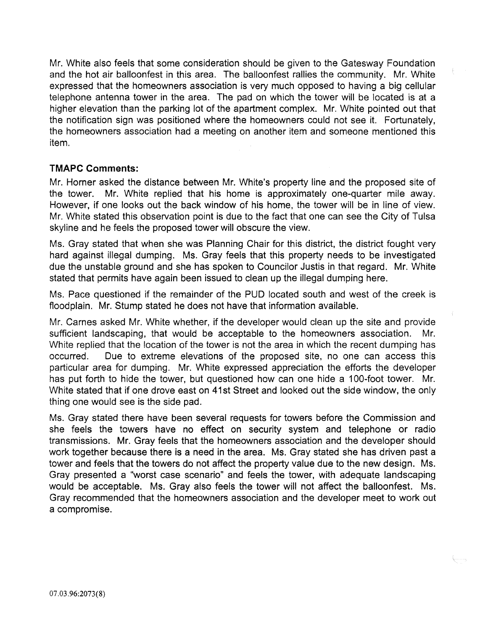Mr. White also feels that some consideration should be given to the Gatesway Foundation and the hot air balloonfest in this area. The balloonfest rallies the community. Mr. White expressed that the homeowners association is very much opposed to having a big cellular telephone antenna tower in the area. The pad on which the tower will be located is at a higher elevation than the parking lot of the apartment complex. Mr. White pointed out that the notification sign was positioned where the homeowners could not see it. Fortunately, the homeowners association had a meeting on another item and someone mentioned this item.

## **TMAPC Comments:**

Mr. Horner asked the distance between Mr. White's property line and the proposed site of the tower. Mr. White replied that his home is approximately one-quarter mile away. However, if one looks out the back window of his home, the tower will be in line of view. Mr. White stated this observation point is due to the fact that one can see the City of Tulsa skyline and he feels the proposed tower will obscure the view.

Ms. Gray stated that when she was Planning Chair for this district, the district fought very hard against illegal dumping. Ms. Gray feels that this property needs to be investigated due the unstable ground and she has spoken to Councilor Justis in that regard. Mr. White stated that permits have again been issued to clean up the illegal dumping here.

Ms. Pace questioned if the remainder of the PUD located south and west of the creek is floodplain. Mr. Stump stated he does not have that information available.

Mr. Carnes asked Mr. White whether, if the developer would clean up the site and provide sufficient landscaping, that would be acceptable to the homeowners association. Mr. White replied that the location of the tower is not the area in which the recent dumping has occurred. Due to extreme elevations of the proposed site, no one can access this particular area for dumping. Mr. White expressed appreciation the efforts the developer has put forth to hide the tower, but questioned how can one hide a 100-foot tower. Mr. White stated that if one drove east on 41st Street and looked out the side window, the only thing one would see is the side pad.

Ms. Gray stated there have been several requests for towers before the Commission and she feels the towers have no effect on security system and telephone or radio transmissions. Mr. Gray feels that the homeowners association and the developer should work together because there is a need in the area. Ms. Gray stated she has driven past a tower and feels that the towers do not affect the property value due to the new design. Ms. Gray presented a "worst case scenario" and feels the tower, with adequate landscaping would be acceptable. Ms. Gray also feels the tower will not affect the balloonfest. Ms. Gray recommended that the homeowners association and the developer meet to work out a compromise.

{<sub>{}</sub>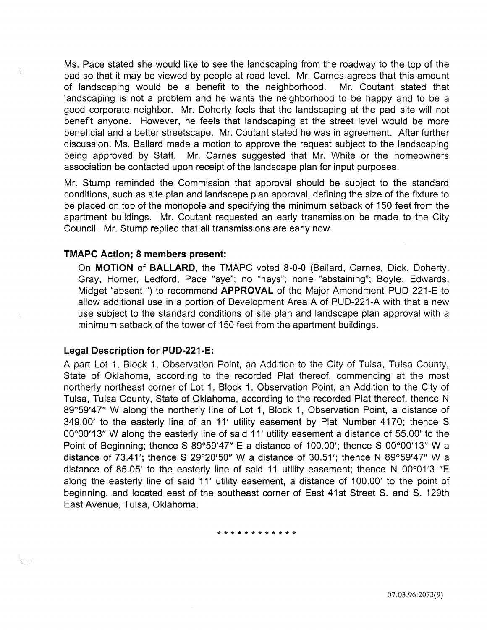Ms. Pace stated she would like to see the landscaping from the roadway to the top of the pad so that it may be viewed by people at road level. Mr. Carnes agrees that this amount of landscaping would be a benefit to the neighborhood. Mr. Coutant stated that landscaping is not a problem and he wants the neighborhood to be happy and to be a good corporate neighbor. Mr. Doherty feels that the landscaping at the pad site will not benefit anyone. However, he feels that landscaping at the street level would be more beneficial and a better streetscape. Mr. Coutant stated he was in agreement. After further discussion, Ms. Ballard made a motion to approve the request subject to the landscaping being approved by Staff. Mr. Carnes suggested that Mr. White or the homeowners association be contacted upon receipt of the landscape plan for input purposes.

Mr. Stump reminded the Commission that approval should be subject to the standard conditions, such as site plan and landscape plan approval, defining the size of the fixture to be placed on top of the monopole and specifying the minimum setback of 150 feet from the apartment buildings. Mr. Coutant requested an early transmission be made to the City Council. Mr. Stump replied that all transmissions are early now.

#### TMAPC Action; 8 members present:

On MOTION of BALLARD, the TMAPC voted 8-0-0 (Ballard, Carnes, Dick, Doherty, Gray, Horner, Ledford, Pace "aye"; no "nays"; none "abstaining"; Boyle, Edwards, Midget "absent") to recommend APPROVAL of the Major Amendment PUD 221-E to allow additional use in a portion of Development Area A of PUD-221-A with that a new use subject to the standard conditions of site plan and landscape plan approval with a minimum setback of the tower of 150 feet from the apartment buildings.

#### Legal Description for PUD-221-E:

y.<br>M

A part Lot 1, Block 1, Observation Point, an Addition to the City of Tulsa, Tulsa County, State of Oklahoma, according to the recorded Plat thereof, commencing at the most northerly northeast corner of Lot 1, Block 1, Observation Point, an Addition to the City of Tulsa, Tulsa County, State of Oklahoma, according to the recorded Plat thereof, thence N 89°59'47" W along the northerly line of Lot 1, Block 1, Observation Point, a distance of 349.00' to the easterly line of an 11' utility easement by Plat Number 4170; thence S 00°00'13" W along the easterly line of said 11' utility easement a distance of 55.00' to the Point of Beginning; thence S 89°59'47" E a distance of 100.00'; thence S 00°00'13" W a distance of 73.41'; thence S 29°20'50" W a distance of 30.51'; thence N 89°59'47" W a distance of 85.05' to the easterly line of said 11 utility easement; thence N 00°01'3 "E along the easterly line of said 11' utility easement, a distance of 100.00' to the point of beginning, and located east of the southeast corner of East 41st Street S. and S. 129th East Avenue, Tulsa, Oklahoma.

\* \* \* \* \* \* \* \* \* \* \* \*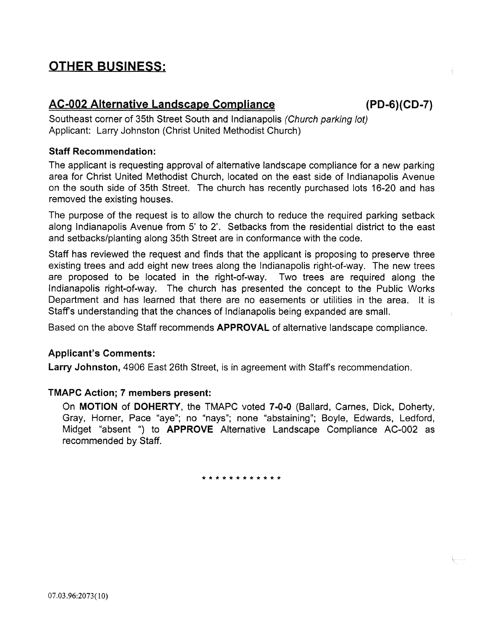## **OTHER BUSINESS:**

## **AC-002 Alternative Landscape Compliance (PD-6)(CD-7)**

Southeast corner of 35th Street South and Indianapolis (Church parking lot) Applicant: Larry Johnston (Christ United Methodist Church)

## **Staff Recommendation:**

The applicant is requesting approval of alternative landscape compliance for a new parking area for Christ United Methodist Church, located on the east side of Indianapolis Avenue on the south side of 35th Street. The church has recently purchased lots 16-20 and has removed the existing houses.

The purpose of the request is to allow the church to reduce the required parking setback along Indianapolis Avenue from 5' to 2'. Setbacks from the residential district to the east and setbacks/planting along 35th Street are in conformance with the code.

Staff has reviewed the request and finds that the applicant is proposing to preserve three existing trees and add eight new trees along the Indianapolis right-of-way. The new trees are proposed to be located in the right-of-way. Two trees are required along the Indianapolis right-of-way. The church has presented the concept to the Public Works Department and has learned that there are no easements or utilities in the area. It is Staff's understanding that the chances of Indianapolis being expanded are small.

Based on the above Staff recommends **APPROVAL** of alternative landscape compliance.

## **Applicant's Comments:**

**Larry Johnston,** 4906 East 26th Street, is in agreement with Staff's recommendation.

## **TMAPC Action; 7 members present:**

On **MOTION of DOHERTY,** the TMAPC voted **7-0-0** (Ballard, Carnes, Dick, Doherty, Gray, Horner, Pace "aye"; no "nays"; none "abstaining"; Boyle, Edwards, Ledford, Midget "absent ") to **APPROVE** Alternative Landscape Compliance AC-002 as recommended by Staff.

\* \* \* \* \* \* \* \* \* \* \* \*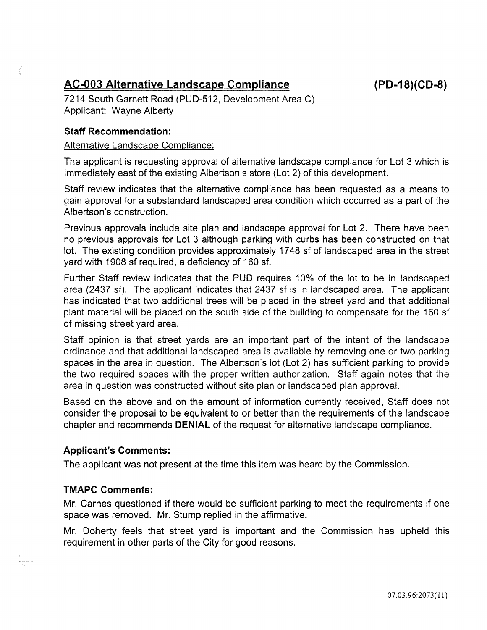## AC-003 Alternative Landscape Compliance

7214 South Garnett Road (PUD-512, Development Area C) Applicant: Wayne Alberty

## Staff Recommendation:

### Alternative Landscape Compliance:

The applicant is requesting approval of alternative landscape compliance for Lot 3 which is immediately east of the existing Albertson's store (Lot 2) of this development.

Staff review indicates that the alternative compliance has been requested as a means to gain approval for a substandard landscaped area condition which occurred as a part of the Albertson's construction.

Previous approvals include site plan and landscape approval for Lot 2. There have been no previous approvals for Lot 3 although parking with curbs has been constructed on that lot. The existing condition provides approximately 17 48 sf of landscaped area in the street yard with 1908 sf required, a deficiency of 160 sf.

Further Staff review indicates that the PUD requires 10% of the lot to be in landscaped area (2437 sf). The applicant indicates that 2437 sf is in landscaped area. The applicant has indicated that two additional trees will be placed in the street yard and that additional plant material will be placed on the south side of the building to compensate for the 160 sf of missing street yard area.

Staff opinion is that street yards are an important part of the intent of the landscape ordinance and that additional landscaped area is available by removing one or two parking spaces in the area in question. The Albertson's lot (Lot 2) has sufficient parking to provide the two required spaces with the proper written authorization. Staff again notes that the area in question was constructed without site plan or landscaped plan approval.

Based on the above and on the amount of information currently received, Staff does not consider the proposal to be equivalent to or better than the requirements of the landscape chapter and recommends DENIAL of the request for alternative landscape compliance.

## Applicant's Comments:

The applicant was not present at the time this item was heard by the Commission.

## TMAPC Comments:

Mr. Carnes questioned if there would be sufficient parking to meet the requirements if one space was removed. Mr. Stump replied in the affirmative.

Mr. Doherty feels that street yard is important and the Commission has upheld this requirement in other parts of the City for good reasons.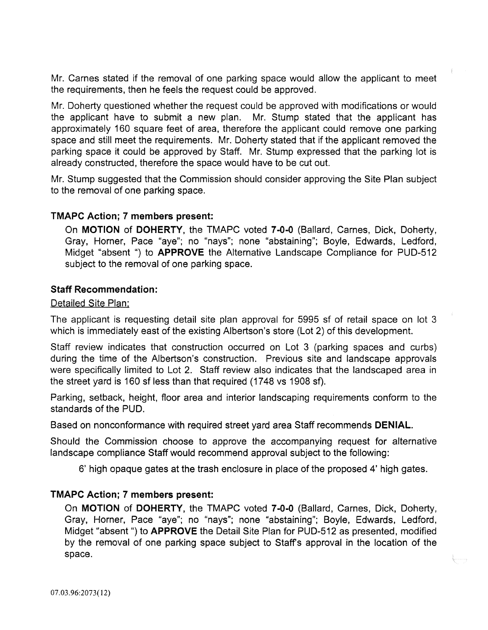Mr. Carnes stated if the removal of one parking space would allow the applicant to meet the requirements, then he feels the request could be approved.

Mr. Doherty questioned whether the request could be approved with modifications or would the applicant have to submit a new plan. Mr. Stump stated that the applicant has approximately 160 square feet of area, therefore the applicant could remove one parking space and still meet the requirements. Mr. Doherty stated that if the applicant removed the parking space it could be approved by Staff. Mr. Stump expressed that the parking lot is already constructed, therefore the space would have to be cut out.

Mr. Stump suggested that the Commission should consider approving the Site Plan subject to the removal of one parking space.

## TMAPC Action; 7 members present:

On MOTION of DOHERTY, the TMAPC voted 7-0-0 (Ballard, Carnes, Dick, Doherty, Gray, Horner, Pace "aye"; no "nays"; none "abstaining"; Boyle, Edwards, Ledford, Midget "absent ") to APPROVE the Alternative Landscape Compliance for PUD-512 subject to the removal of one parking space.

## Staff Recommendation:

## Detailed Site Plan:

The applicant is requesting detail site plan approval for 5995 sf of retail space on lot 3 which is immediately east of the existing Albertson's store (Lot 2) of this development.

Staff review indicates that construction occurred on Lot 3 (parking spaces and curbs) during the time of the Albertson's construction. Previous site and landscape approvals were specifically limited to Lot 2. Staff review also indicates that the landscaped area in the street yard is 160 sf less than that required (1748 vs 1908 sf).

Parking, setback, height, floor area and interior landscaping requirements conform to the standards of the PUD.

Based on nonconformance with required street yard area Staff recommends DENIAL.

Should the Commission choose to approve the accompanying request for alternative landscape compliance Staff would recommend approval subject to the following:

6' high opaque gates at the trash enclosure in place of the proposed 4' high gates.

## TMAPC Action; 7 members present:

On MOTION of DOHERTY, the TMAPC voted 7-0-0 (Ballard, Carnes, Dick, Doherty, Gray, Horner, Pace "aye"; no "nays"; none "abstaining"; Boyle, Edwards, Ledford, Midget "absent") to **APPROVE** the Detail Site Plan for PUD-512 as presented, modified by the removal of one parking space subject to Staffs approval in the location of the space.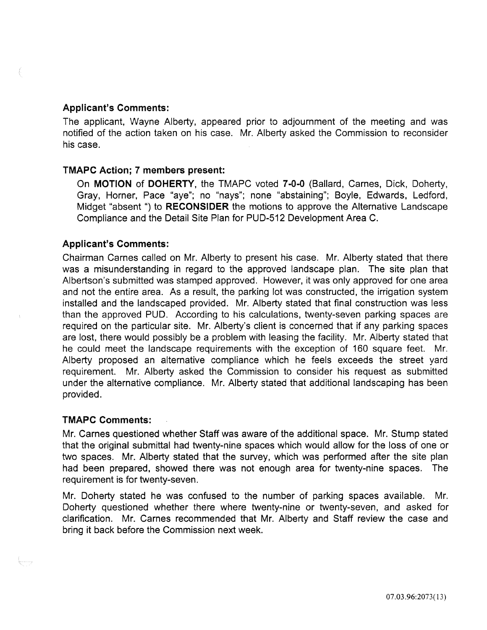## Applicant's Comments:

The applicant, Wayne Alberty, appeared prior to adjournment of the meeting and was notified of the action taken on his case. Mr. Alberty asked the Commission to reconsider his case.

## TMAPC Action; 7 members present:

On MOTION of DOHERTY, the TMAPC voted 7-0-0 (Ballard, Carnes, Dick, Doherty, Gray, Horner, Pace "aye"; no "nays"; none "abstaining"; Boyle, Edwards, Ledford, Midget "absent ") to RECONSIDER the motions to approve the Alternative Landscape Compliance and the Detail Site Plan for PUD-512 Development Area C.

## Applicant's Comments:

Chairman Carnes called on Mr. Alberty to present his case. Mr. Alberty stated that there was a misunderstanding in regard to the approved landscape plan. The site plan that Albertson's submitted was stamped approved. However, it was only approved for one area and not the entire area. As a result, the parking lot was constructed, the irrigation system installed and the landscaped provided. Mr. Alberty stated that final construction was less than the approved PUD. According to his calculations, twenty-seven parking spaces are required on the particular site. Mr. Alberty's client is concerned that if any parking spaces are lost, there would possibly be a problem with leasing the facility. Mr. Alberty stated that he could meet the landscape requirements with the exception of 160 square feet. Mr. Alberty proposed an alternative compliance which he feels exceeds the street yard requirement. Mr. Alberty asked the Commission to consider his request as submitted under the alternative compliance. Mr. Alberty stated that additional landscaping has been provided.

## TMAPC Comments:

|<br>|-<br>|-

Mr. Carnes questioned whether Staff was aware of the additional space. Mr. Stump stated that the original submittal had twenty-nine spaces which would allow for the loss of one or two spaces. Mr. Alberty stated that the survey, which was performed after the site plan had been prepared, showed there was not enough area for twenty-nine spaces. The requirement is for twenty-seven.

Mr. Doherty stated he was confused to the number of parking spaces available. Mr. Doherty questioned whether there where twenty-nine or twenty-seven, and asked for clarification. Mr. Carnes recommended that Mr. Alberty and Staff review the case and bring it back before the Commission next week.